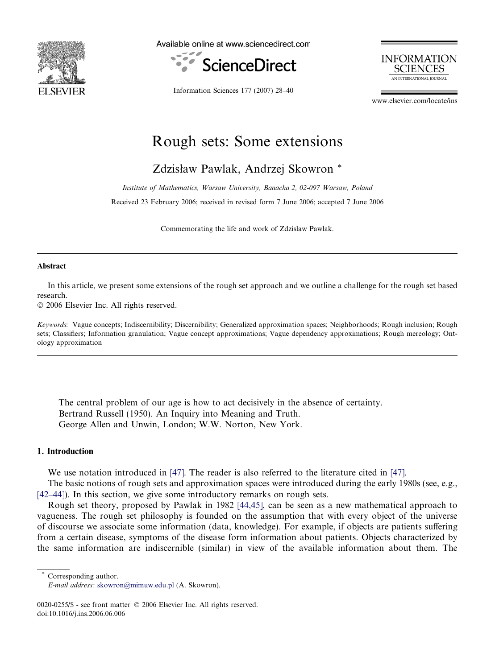

Available online at www.sciencedirect.com





Information Sciences 177 (2007) 28–40

www.elsevier.com/locate/ins

# Rough sets: Some extensions

Zdzisław Pawlak, Andrzej Skowron \*

Institute of Mathematics, Warsaw University, Banacha 2, 02-097 Warsaw, Poland Received 23 February 2006; received in revised form 7 June 2006; accepted 7 June 2006

Commemorating the life and work of Zdzisław Pawlak.

#### Abstract

In this article, we present some extensions of the rough set approach and we outline a challenge for the rough set based research.

 $© 2006 Elsevier Inc. All rights reserved.$ 

Keywords: Vague concepts; Indiscernibility; Discernibility; Generalized approximation spaces; Neighborhoods; Rough inclusion; Rough sets; Classifiers; Information granulation; Vague concept approximations; Vague dependency approximations; Rough mereology; Ontology approximation

The central problem of our age is how to act decisively in the absence of certainty. Bertrand Russell (1950). An Inquiry into Meaning and Truth. George Allen and Unwin, London; W.W. Norton, New York.

# 1. Introduction

We use notation introduced in [\[47\].](#page-11-0) The reader is also referred to the literature cited in [47].

The basic notions of rough sets and approximation spaces were introduced during the early 1980s (see, e.g., [\[42–44\]\)](#page-11-0). In this section, we give some introductory remarks on rough sets.

Rough set theory, proposed by Pawlak in 1982 [\[44,45\]](#page-11-0), can be seen as a new mathematical approach to vagueness. The rough set philosophy is founded on the assumption that with every object of the universe of discourse we associate some information (data, knowledge). For example, if objects are patients suffering from a certain disease, symptoms of the disease form information about patients. Objects characterized by the same information are indiscernible (similar) in view of the available information about them. The

Corresponding author.

E-mail address: [skowron@mimuw.edu.pl](mailto:skowron@mimuw.edu.pl) (A. Skowron).

<sup>0020-0255/\$ -</sup> see front matter © 2006 Elsevier Inc. All rights reserved. doi:10.1016/j.ins.2006.06.006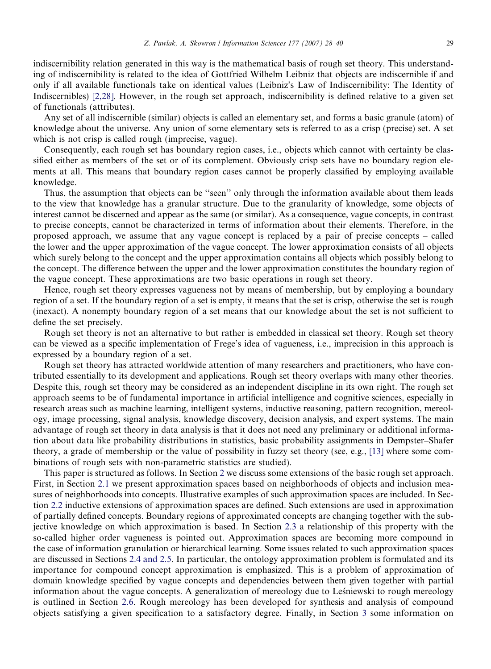indiscernibility relation generated in this way is the mathematical basis of rough set theory. This understanding of indiscernibility is related to the idea of Gottfried Wilhelm Leibniz that objects are indiscernible if and only if all available functionals take on identical values (Leibniz's Law of Indiscernibility: The Identity of Indiscernibles) [\[2,28\].](#page-9-0) However, in the rough set approach, indiscernibility is defined relative to a given set of functionals (attributes).

Any set of all indiscernible (similar) objects is called an elementary set, and forms a basic granule (atom) of knowledge about the universe. Any union of some elementary sets is referred to as a crisp (precise) set. A set which is not crisp is called rough (imprecise, vague).

Consequently, each rough set has boundary region cases, i.e., objects which cannot with certainty be classified either as members of the set or of its complement. Obviously crisp sets have no boundary region elements at all. This means that boundary region cases cannot be properly classified by employing available knowledge.

Thus, the assumption that objects can be ''seen'' only through the information available about them leads to the view that knowledge has a granular structure. Due to the granularity of knowledge, some objects of interest cannot be discerned and appear as the same (or similar). As a consequence, vague concepts, in contrast to precise concepts, cannot be characterized in terms of information about their elements. Therefore, in the proposed approach, we assume that any vague concept is replaced by a pair of precise concepts – called the lower and the upper approximation of the vague concept. The lower approximation consists of all objects which surely belong to the concept and the upper approximation contains all objects which possibly belong to the concept. The difference between the upper and the lower approximation constitutes the boundary region of the vague concept. These approximations are two basic operations in rough set theory.

Hence, rough set theory expresses vagueness not by means of membership, but by employing a boundary region of a set. If the boundary region of a set is empty, it means that the set is crisp, otherwise the set is rough (inexact). A nonempty boundary region of a set means that our knowledge about the set is not sufficient to define the set precisely.

Rough set theory is not an alternative to but rather is embedded in classical set theory. Rough set theory can be viewed as a specific implementation of Frege's idea of vagueness, i.e., imprecision in this approach is expressed by a boundary region of a set.

Rough set theory has attracted worldwide attention of many researchers and practitioners, who have contributed essentially to its development and applications. Rough set theory overlaps with many other theories. Despite this, rough set theory may be considered as an independent discipline in its own right. The rough set approach seems to be of fundamental importance in artificial intelligence and cognitive sciences, especially in research areas such as machine learning, intelligent systems, inductive reasoning, pattern recognition, mereology, image processing, signal analysis, knowledge discovery, decision analysis, and expert systems. The main advantage of rough set theory in data analysis is that it does not need any preliminary or additional information about data like probability distributions in statistics, basic probability assignments in Dempster–Shafer theory, a grade of membership or the value of possibility in fuzzy set theory (see, e.g., [\[13\]](#page-10-0) where some combinations of rough sets with non-parametric statistics are studied).

This paper is structured as follows. In Section [2](#page-2-0) we discuss some extensions of the basic rough set approach. First, in Section [2.1](#page-2-0) we present approximation spaces based on neighborhoods of objects and inclusion measures of neighborhoods into concepts. Illustrative examples of such approximation spaces are included. In Section [2.2](#page-4-0) inductive extensions of approximation spaces are defined. Such extensions are used in approximation of partially defined concepts. Boundary regions of approximated concepts are changing together with the subjective knowledge on which approximation is based. In Section [2.3](#page-5-0) a relationship of this property with the so-called higher order vagueness is pointed out. Approximation spaces are becoming more compound in the case of information granulation or hierarchical learning. Some issues related to such approximation spaces are discussed in Sections [2.4 and 2.5](#page-5-0). In particular, the ontology approximation problem is formulated and its importance for compound concept approximation is emphasized. This is a problem of approximation of domain knowledge specified by vague concepts and dependencies between them given together with partial information about the vague concepts. A generalization of mereology due to Lesniewski to rough mereology is outlined in Section [2.6.](#page-6-0) Rough mereology has been developed for synthesis and analysis of compound objects satisfying a given specification to a satisfactory degree. Finally, in Section [3](#page-8-0) some information on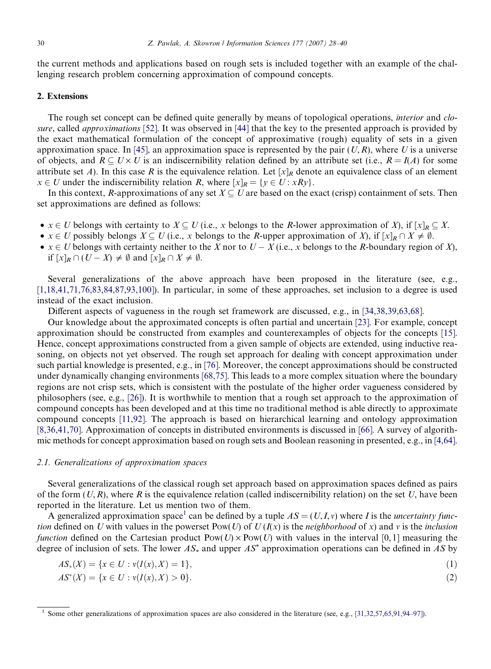<span id="page-2-0"></span>the current methods and applications based on rough sets is included together with an example of the challenging research problem concerning approximation of compound concepts.

# 2. Extensions

The rough set concept can be defined quite generally by means of topological operations, *interior* and *clo*sure, called *approximations* [\[52\]](#page-11-0). It was observed in [\[44\]](#page-11-0) that the key to the presented approach is provided by the exact mathematical formulation of the concept of approximative (rough) equality of sets in a given approximation space. In [\[45\],](#page-11-0) an approximation space is represented by the pair  $(U, R)$ , where U is a universe of objects, and  $R \subseteq U \times U$  is an indiscernibility relation defined by an attribute set (i.e.,  $R = I(A)$  for some attribute set A). In this case R is the equivalence relation. Let  $[x]_R$  denote an equivalence class of an element  $x \in U$  under the indiscernibility relation R, where  $[x]_R = \{y \in U : xRy\}.$ 

In this context, R-approximations of any set  $X \subseteq U$  are based on the exact (crisp) containment of sets. Then set approximations are defined as follows:

- $x \in U$  belongs with certainty to  $X \subseteq U$  (i.e., x belongs to the R-lower approximation of X), if  $[x]_R \subseteq X$ .
- $x \in U$  possibly belongs  $X \subseteq U$  (i.e., x belongs to the R-upper approximation of X), if  $[x]_R \cap X \neq \emptyset$ .
- $x \in U$  belongs with certainty neither to the X nor to  $U X$  (i.e., x belongs to the R-boundary region of X), if  $[x]_R \cap (U - X) \neq \emptyset$  and  $[x]_R \cap X \neq \emptyset$ .

Several generalizations of the above approach have been proposed in the literature (see, e.g., [\[1,18,41,71,76,83,84,87,93,100\]\)](#page-9-0). In particular, in some of these approaches, set inclusion to a degree is used instead of the exact inclusion.

Different aspects of vagueness in the rough set framework are discussed, e.g., in [\[34,38,39,63,68\]](#page-10-0).

Our knowledge about the approximated concepts is often partial and uncertain [\[23\]](#page-10-0). For example, concept approximation should be constructed from examples and counterexamples of objects for the concepts [\[15\].](#page-10-0) Hence, concept approximations constructed from a given sample of objects are extended, using inductive reasoning, on objects not yet observed. The rough set approach for dealing with concept approximation under such partial knowledge is presented, e.g., in [\[76\].](#page-11-0) Moreover, the concept approximations should be constructed under dynamically changing environments [\[68,75\].](#page-11-0) This leads to a more complex situation where the boundary regions are not crisp sets, which is consistent with the postulate of the higher order vagueness considered by philosophers (see, e.g., [\[26\]\)](#page-10-0). It is worthwhile to mention that a rough set approach to the approximation of compound concepts has been developed and at this time no traditional method is able directly to approximate compound concepts [\[11,92\]](#page-10-0). The approach is based on hierarchical learning and ontology approximation [\[8,36,41,70\].](#page-10-0) Approximation of concepts in distributed environments is discussed in [\[66\].](#page-11-0) A survey of algorithmic methods for concept approximation based on rough sets and Boolean reasoning in presented, e.g., in [\[4,64\].](#page-10-0)

### 2.1. Generalizations of approximation spaces

Several generalizations of the classical rough set approach based on approximation spaces defined as pairs of the form  $(U, R)$ , where R is the equivalence relation (called indiscernibility relation) on the set U, have been reported in the literature. Let us mention two of them.

A generalized approximation space<sup>1</sup> can be defined by a tuple  $AS = (U, I, v)$  where I is the *uncertainty func*tion defined on U with values in the powerset Pow(U) of  $U(I(x))$  is the neighborhood of x) and v is the inclusion function defined on the Cartesian product  $Pow(U) \times Pow(U)$  with values in the interval [0, 1] measuring the degree of inclusion of sets. The lower  $AS_*$  and upper  $AS^*$  approximation operations can be defined in AS by

$$
AS_*(X) = \{x \in U : v(I(x), X) = 1\},\tag{1}
$$

$$
AS^*(X) = \{x \in U : v(I(x), X) > 0\}.
$$
\n(2)

<sup>&</sup>lt;sup>1</sup> Some other generalizations of approximation spaces are also considered in the literature (see, e.g., [\[31,32,57,65,91,94–97\]\)](#page-10-0).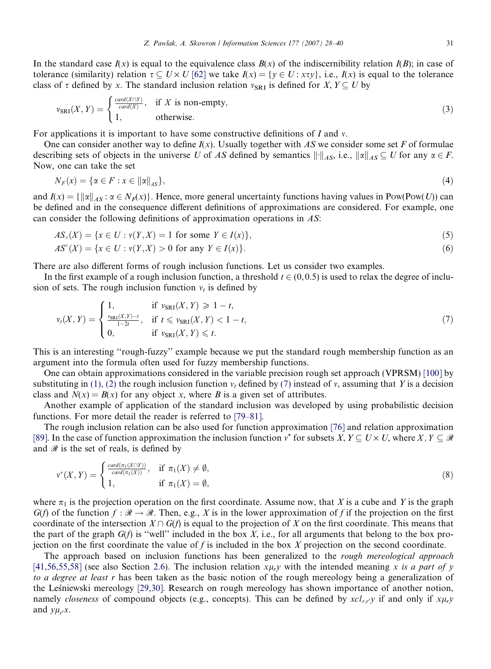<span id="page-3-0"></span>In the standard case  $I(x)$  is equal to the equivalence class  $B(x)$  of the indiscernibility relation  $I(B)$ ; in case of tolerance (similarity) relation  $\tau \subseteq U \times U$  [\[62\]](#page-11-0) we take  $I(x) = \{y \in U : x \tau y\}$ , i.e.,  $I(x)$  is equal to the tolerance class of  $\tau$  defined by x. The standard inclusion relation  $v_{SRI}$  is defined for  $X, Y \subseteq U$  by

$$
\nu_{\text{SRI}}(X,Y) = \begin{cases} \frac{\text{card}(X \cap Y)}{\text{card}(X)} & \text{if } X \text{ is non-empty,} \\ 1, & \text{otherwise.} \end{cases} \tag{3}
$$

For applications it is important to have some constructive definitions of I and  $\nu$ .

One can consider another way to define  $I(x)$ . Usually together with AS we consider some set F of formulae describing sets of objects in the universe U of AS defined by semantics  $\|\cdot\|_{AS}$ , i.e.,  $\|\alpha\|_{AS} \subseteq U$  for any  $\alpha \in F$ . Now, one can take the set

$$
N_F(x) = \{ \alpha \in F : x \in ||\alpha||_{AS} \},\tag{4}
$$

and  $I(x) = {\|x\|_{AS} : x \in N_F(x)}$ . Hence, more general uncertainty functions having values in Pow(Pow(U)) can be defined and in the consequence different definitions of approximations are considered. For example, one can consider the following definitions of approximation operations in AS:

$$
AS_{\circ}(X) = \{x \in U : v(Y, X) = 1 \text{ for some } Y \in I(x)\},\tag{5}
$$

$$
AS^{\circ}(X) = \{x \in U : v(Y, X) > 0 \text{ for any } Y \in I(x)\}.
$$
 (6)

There are also different forms of rough inclusion functions. Let us consider two examples.

In the first example of a rough inclusion function, a threshold  $t \in (0, 0.5)$  is used to relax the degree of inclusion of sets. The rough inclusion function  $v_t$  is defined by

$$
v_t(X,Y) = \begin{cases} 1, & \text{if } v_{\text{SRI}}(X,Y) \ge 1-t, \\ \frac{v_{\text{SRI}}(X,Y)-t}{1-2t}, & \text{if } t \le v_{\text{SRI}}(X,Y) < 1-t, \\ 0, & \text{if } v_{\text{SRI}}(X,Y) \le t. \end{cases}
$$
(7)

This is an interesting ''rough-fuzzy'' example because we put the standard rough membership function as an argument into the formula often used for fuzzy membership functions.

One can obtain approximations considered in the variable precision rough set approach (VPRSM) [\[100\]](#page-12-0) by substituting in [\(1\), \(2\)](#page-2-0) the rough inclusion function  $v_t$  defined by (7) instead of v, assuming that Y is a decision class and  $N(x) = B(x)$  for any object x, where B is a given set of attributes.

Another example of application of the standard inclusion was developed by using probabilistic decision functions. For more detail the reader is referred to [\[79–81\].](#page-12-0)

The rough inclusion relation can be also used for function approximation [\[76\]](#page-11-0) and relation approximation [\[89\]](#page-12-0). In the case of function approximation the inclusion function  $v^*$  for subsets  $X, Y \subseteq U \times U$ , where  $X, Y \subseteq \mathcal{R}$ and  $\mathcal R$  is the set of reals, is defined by

$$
\nu^*(X,Y) = \begin{cases} \frac{card(\pi_1(X \cap Y))}{card(\pi_1(X))}, & \text{if } \pi_1(X) \neq \emptyset, \\ 1, & \text{if } \pi_1(X) = \emptyset, \end{cases}
$$
 (8)

where  $\pi_1$  is the projection operation on the first coordinate. Assume now, that X is a cube and Y is the graph  $G(f)$  of the function  $f : \mathcal{R} \to \mathcal{R}$ . Then, e.g., X is in the lower approximation of f if the projection on the first coordinate of the intersection  $X \cap G(f)$  is equal to the projection of X on the first coordinate. This means that the part of the graph  $G(f)$  is "well" included in the box X, i.e., for all arguments that belong to the box projection on the first coordinate the value of f is included in the box X projection on the second coordinate.

The approach based on inclusion functions has been generalized to the *rough mereological approach* [\[41,56,55,58\]](#page-11-0) (see also Section [2.6\)](#page-6-0). The inclusion relation  $x\mu_r y$  with the intended meaning x is a part of y to a degree at least r has been taken as the basic notion of the rough mereology being a generalization of the Les´niewski mereology [\[29,30\]](#page-10-0). Research on rough mereology has shown importance of another notion, namely *closeness* of compound objects (e.g., concepts). This can be defined by  $xcl_{r,r}y$  if and only if  $x\mu_r y$ and  $y\mu_{r}x$ .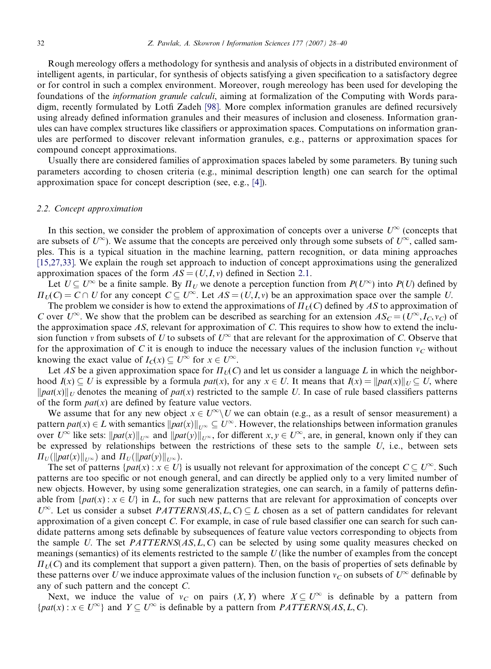<span id="page-4-0"></span>Rough mereology offers a methodology for synthesis and analysis of objects in a distributed environment of intelligent agents, in particular, for synthesis of objects satisfying a given specification to a satisfactory degree or for control in such a complex environment. Moreover, rough mereology has been used for developing the foundations of the information granule calculi, aiming at formalization of the Computing with Words paradigm, recently formulated by Lotfi Zadeh [\[98\].](#page-12-0) More complex information granules are defined recursively using already defined information granules and their measures of inclusion and closeness. Information granules can have complex structures like classifiers or approximation spaces. Computations on information granules are performed to discover relevant information granules, e.g., patterns or approximation spaces for compound concept approximations.

Usually there are considered families of approximation spaces labeled by some parameters. By tuning such parameters according to chosen criteria (e.g., minimal description length) one can search for the optimal approximation space for concept description (see, e.g., [\[4\]](#page-10-0)).

# 2.2. Concept approximation

In this section, we consider the problem of approximation of concepts over a universe  $U^{\infty}$  (concepts that are subsets of  $U^{\infty}$ ). We assume that the concepts are perceived only through some subsets of  $U^{\infty}$ , called samples. This is a typical situation in the machine learning, pattern recognition, or data mining approaches [\[15,27,33\].](#page-10-0) We explain the rough set approach to induction of concept approximations using the generalized approximation spaces of the form  $AS = (U, I, v)$  defined in Section [2.1.](#page-2-0)

Let  $U \subseteq U^{\infty}$  be a finite sample. By  $\Pi_U$  we denote a perception function from  $P(U^{\infty})$  into  $P(U)$  defined by  $\Pi_U(C) = C \cap U$  for any concept  $C \subseteq U^{\infty}$ . Let  $AS = (U, I, v)$  be an approximation space over the sample U.

The problem we consider is how to extend the approximations of  $\Pi_l(C)$  defined by AS to approximation of C over  $U^{\infty}$ . We show that the problem can be described as searching for an extension  $AS_C = (U^{\infty}, I_C, v_C)$  of the approximation space  $AS$ , relevant for approximation of  $C$ . This requires to show how to extend the inclusion function v from subsets of U to subsets of  $U^{\infty}$  that are relevant for the approximation of C. Observe that for the approximation of C it is enough to induce the necessary values of the inclusion function  $v<sub>C</sub>$  without knowing the exact value of  $I_C(x) \subseteq U^{\infty}$  for  $x \in U^{\infty}$ .

Let AS be a given approximation space for  $\Pi_U(C)$  and let us consider a language L in which the neighborhood  $I(x) \subseteq U$  is expressible by a formula  $pat(x)$ , for any  $x \in U$ . It means that  $I(x) = ||pat(x)||_U \subseteq U$ , where  $\|pat(x)\|_U$  denotes the meaning of pat(x) restricted to the sample U. In case of rule based classifiers patterns of the form  $pat(x)$  are defined by feature value vectors.

We assume that for any new object  $x \in U^{\infty} \setminus U$  we can obtain (e.g., as a result of sensor measurement) a pattern  $pat(x) \in L$  with semantics  $||pat(x)||_{U^{\infty}} \subseteq U^{\infty}$ . However, the relationships between information granules over  $U^{\infty}$  like sets:  $\|pat(x)\|_{U^{\infty}}$  and  $\|pat(y)\|_{U^{\infty}}$ , for different  $x, y \in U^{\infty}$ , are, in general, known only if they can be expressed by relationships between the restrictions of these sets to the sample  $U$ , i.e., between sets  $\Pi_U(\|\text{pat}(x)\|_{U^{\infty}})$  and  $\Pi_U(\|\text{pat}(y)\|_{U^{\infty}})$ .

The set of patterns  $\{pat(x) : x \in U\}$  is usually not relevant for approximation of the concept  $C \subseteq U^{\infty}$ . Such patterns are too specific or not enough general, and can directly be applied only to a very limited number of new objects. However, by using some generalization strategies, one can search, in a family of patterns definable from  $\{pat(x): x \in U\}$  in L, for such new patterns that are relevant for approximation of concepts over  $U^{\infty}$ . Let us consider a subset  $PATTERNS(AS, L, C) \subseteq L$  chosen as a set of pattern candidates for relevant approximation of a given concept C. For example, in case of rule based classifier one can search for such candidate patterns among sets definable by subsequences of feature value vectors corresponding to objects from the sample U. The set  $PATTERNS(AS, L, C)$  can be selected by using some quality measures checked on meanings (semantics) of its elements restricted to the sample  $U$  (like the number of examples from the concept  $\Pi_{U}(C)$  and its complement that support a given pattern). Then, on the basis of properties of sets definable by these patterns over U we induce approximate values of the inclusion function  $v_C$  on subsets of  $U^{\infty}$  definable by any of such pattern and the concept C.

Next, we induce the value of  $v_C$  on pairs  $(X, Y)$  where  $X \subseteq U^{\infty}$  is definable by a pattern from  ${pat(x) : x \in U^{\infty}}$  and  $Y \subseteq U^{\infty}$  is definable by a pattern from *PATTERNS(AS, L, C)*.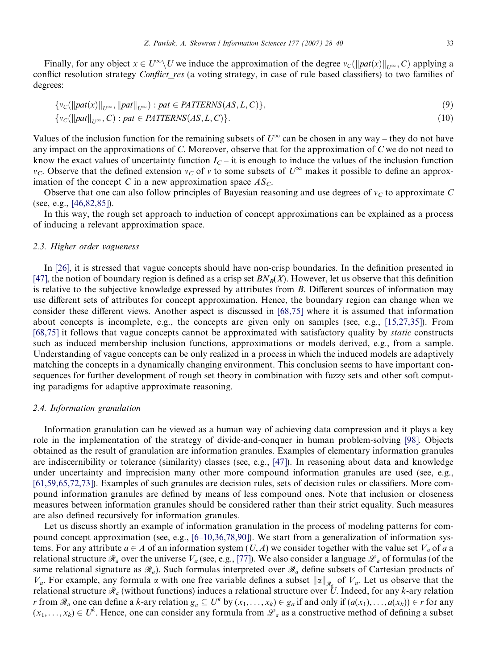<span id="page-5-0"></span>Finally, for any object  $x \in U^{\infty} \setminus U$  we induce the approximation of the degree  $v_c(||pat(x)||_{U^{\infty}}, C)$  applying a conflict resolution strategy *Conflict\_res* (a voting strategy, in case of rule based classifiers) to two families of degrees:

$$
\{v_C(\|pat(x)\|_{U^{\infty}}, \|pat\|_{U^{\infty}}) : pat \in PATTERNS(AS, L, C)\},\tag{9}
$$

$$
\{v_C(\|pat\|_{U^{\infty}}, C) : pat \in PATTERNS(AS, L, C)\}.
$$
\n(10)

Values of the inclusion function for the remaining subsets of  $U^{\infty}$  can be chosen in any way – they do not have any impact on the approximations of C. Moreover, observe that for the approximation of C we do not need to know the exact values of uncertainty function  $I<sub>C</sub>$  – it is enough to induce the values of the inclusion function  $v_C$ . Observe that the defined extension  $v_C$  of v to some subsets of  $U^{\infty}$  makes it possible to define an approximation of the concept C in a new approximation space  $AS_C$ .

Observe that one can also follow principles of Bayesian reasoning and use degrees of  $v<sub>C</sub>$  to approximate C (see, e.g., [\[46,82,85\]](#page-11-0)).

In this way, the rough set approach to induction of concept approximations can be explained as a process of inducing a relevant approximation space.

### 2.3. Higher order vagueness

In [\[26\],](#page-10-0) it is stressed that vague concepts should have non-crisp boundaries. In the definition presented in [\[47\]](#page-11-0), the notion of boundary region is defined as a crisp set  $BN_B(X)$ . However, let us observe that this definition is relative to the subjective knowledge expressed by attributes from  $B$ . Different sources of information may use different sets of attributes for concept approximation. Hence, the boundary region can change when we consider these different views. Another aspect is discussed in [\[68,75\]](#page-11-0) where it is assumed that information about concepts is incomplete, e.g., the concepts are given only on samples (see, e.g., [\[15,27,35\]\)](#page-10-0). From [\[68,75\]](#page-11-0) it follows that vague concepts cannot be approximated with satisfactory quality by static constructs such as induced membership inclusion functions, approximations or models derived, e.g., from a sample. Understanding of vague concepts can be only realized in a process in which the induced models are adaptively matching the concepts in a dynamically changing environment. This conclusion seems to have important consequences for further development of rough set theory in combination with fuzzy sets and other soft computing paradigms for adaptive approximate reasoning.

#### 2.4. Information granulation

Information granulation can be viewed as a human way of achieving data compression and it plays a key role in the implementation of the strategy of divide-and-conquer in human problem-solving [\[98\]](#page-12-0). Objects obtained as the result of granulation are information granules. Examples of elementary information granules are indiscernibility or tolerance (similarity) classes (see, e.g., [\[47\]](#page-11-0)). In reasoning about data and knowledge under uncertainty and imprecision many other more compound information granules are used (see, e.g., [\[61,59,65,72,73\]\)](#page-11-0). Examples of such granules are decision rules, sets of decision rules or classifiers. More compound information granules are defined by means of less compound ones. Note that inclusion or closeness measures between information granules should be considered rather than their strict equality. Such measures are also defined recursively for information granules.

Let us discuss shortly an example of information granulation in the process of modeling patterns for compound concept approximation (see, e.g., [\[6–10,36,78,90\]](#page-10-0)). We start from a generalization of information systems. For any attribute  $a \in A$  of an information system  $(U, A)$  we consider together with the value set  $V_a$  of a a relational structure  $\mathcal{R}_a$  over the universe  $V_a$  (see, e.g., [\[77\]\)](#page-11-0). We also consider a language  $\mathcal{L}_a$  of formulas (of the same relational signature as  $\mathcal{R}_a$ ). Such formulas interpreted over  $\mathcal{R}_a$  define subsets of Cartesian products of  $V_a$ . For example, any formula  $\alpha$  with one free variable defines a subset  $\|\alpha\|_{\mathcal{R}}$  of  $V_a$ . Let us observe that the relational structure  $\mathcal{R}_a$  (without functions) induces a relational structure over U. Indeed, for any k-ary relation r from  $\mathcal{R}_a$  one can define a k-ary relation  $g_a \subseteq U^k$  by  $(x_1,\ldots,x_k) \in g_a$  if and only if  $(a(x_1),\ldots,a(x_k)) \in r$  for any  $(x_1,...,x_k) \in U^k$ . Hence, one can consider any formula from  $\mathscr{L}_a$  as a constructive method of defining a subset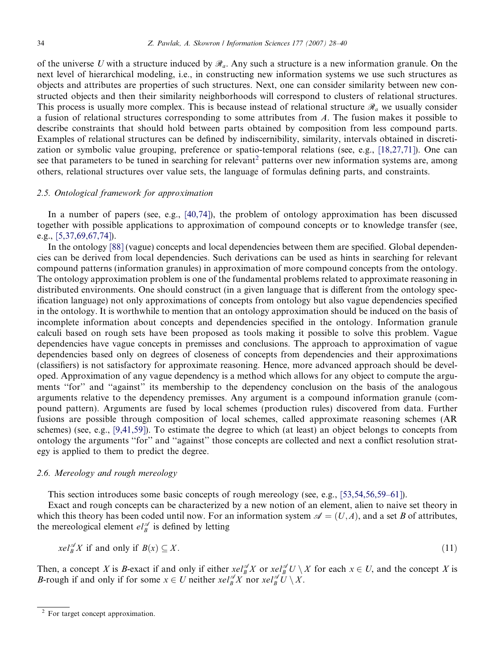<span id="page-6-0"></span>of the universe U with a structure induced by  $\mathcal{R}_a$ . Any such a structure is a new information granule. On the next level of hierarchical modeling, i.e., in constructing new information systems we use such structures as objects and attributes are properties of such structures. Next, one can consider similarity between new constructed objects and then their similarity neighborhoods will correspond to clusters of relational structures. This process is usually more complex. This is because instead of relational structure  $\mathcal{R}_a$  we usually consider a fusion of relational structures corresponding to some attributes from  $A$ . The fusion makes it possible to describe constraints that should hold between parts obtained by composition from less compound parts. Examples of relational structures can be defined by indiscernibility, similarity, intervals obtained in discretization or symbolic value grouping, preference or spatio-temporal relations (see, e.g., [\[18,27,71\]](#page-10-0)). One can see that parameters to be tuned in searching for relevant<sup>2</sup> patterns over new information systems are, among others, relational structures over value sets, the language of formulas defining parts, and constraints.

# 2.5. Ontological framework for approximation

In a number of papers (see, e.g., [\[40,74\]\)](#page-10-0), the problem of ontology approximation has been discussed together with possible applications to approximation of compound concepts or to knowledge transfer (see, e.g., [\[5,37,69,67,74\]](#page-10-0)).

In the ontology [\[88\]](#page-12-0) (vague) concepts and local dependencies between them are specified. Global dependencies can be derived from local dependencies. Such derivations can be used as hints in searching for relevant compound patterns (information granules) in approximation of more compound concepts from the ontology. The ontology approximation problem is one of the fundamental problems related to approximate reasoning in distributed environments. One should construct (in a given language that is different from the ontology specification language) not only approximations of concepts from ontology but also vague dependencies specified in the ontology. It is worthwhile to mention that an ontology approximation should be induced on the basis of incomplete information about concepts and dependencies specified in the ontology. Information granule calculi based on rough sets have been proposed as tools making it possible to solve this problem. Vague dependencies have vague concepts in premisses and conclusions. The approach to approximation of vague dependencies based only on degrees of closeness of concepts from dependencies and their approximations (classifiers) is not satisfactory for approximate reasoning. Hence, more advanced approach should be developed. Approximation of any vague dependency is a method which allows for any object to compute the arguments "for" and "against" its membership to the dependency conclusion on the basis of the analogous arguments relative to the dependency premisses. Any argument is a compound information granule (compound pattern). Arguments are fused by local schemes (production rules) discovered from data. Further fusions are possible through composition of local schemes, called approximate reasoning schemes (AR schemes) (see, e.g., [\[9,41,59\]](#page-10-0)). To estimate the degree to which (at least) an object belongs to concepts from ontology the arguments ''for'' and ''against'' those concepts are collected and next a conflict resolution strategy is applied to them to predict the degree.

# 2.6. Mereology and rough mereology

This section introduces some basic concepts of rough mereology (see, e.g., [\[53,54,56,59–61\]\)](#page-11-0).

Exact and rough concepts can be characterized by a new notion of an element, alien to naive set theory in which this theory has been coded until now. For an information system  $\mathcal{A} = (U, A)$ , and a set B of attributes, the mereological element  $el_B^{\mathscr{A}}$  is defined by letting

$$
xe l_B^{\mathscr{A}} X \text{ if and only if } B(x) \subseteq X. \tag{11}
$$

Then, a concept X is B-exact if and only if either  $xel_B^{\mathscr{A}}X$  or  $xel_B^{\mathscr{A}}U \setminus X$  for each  $x \in U$ , and the concept X is *B*-rough if and only if for some  $x \in U$  neither  $\operatorname{rel}_B^{\mathscr{A}} X$  nor  $\operatorname{rel}_B^{\mathscr{A}} U \setminus X$ .

<sup>&</sup>lt;sup>2</sup> For target concept approximation.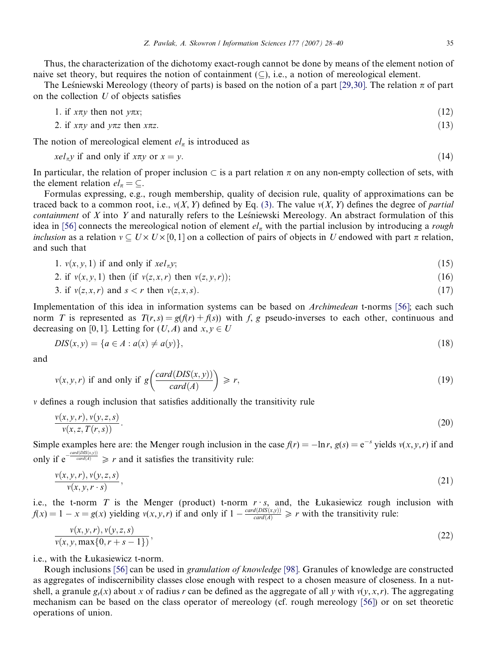Thus, the characterization of the dichotomy exact-rough cannot be done by means of the element notion of naive set theory, but requires the notion of containment  $(\subseteq)$ , i.e., a notion of mereological element.

The Lesniewski Mereology (theory of parts) is based on the notion of a part [\[29,30\].](#page-10-0) The relation  $\pi$  of part on the collection  $U$  of objects satisfies

1. if 
$$
x\pi y
$$
 then not  $y\pi x$ ; (12)

2. if 
$$
x\pi y
$$
 and  $y\pi z$  then  $x\pi z$ . (13)

The notion of mereological element  $el_{\pi}$  is introduced as

$$
xel_{\pi}y \text{ if and only if } x\pi y \text{ or } x = y. \tag{14}
$$

In particular, the relation of proper inclusion  $\subset$  is a part relation  $\pi$  on any non-empty collection of sets, with the element relation  $el_{\pi} = \subseteq$ .

Formulas expressing, e.g., rough membership, quality of decision rule, quality of approximations can be traced back to a common root, i.e.,  $v(X, Y)$  defined by Eq. [\(3\)](#page-3-0). The value  $v(X, Y)$  defines the degree of *partial* containment of  $X$  into  $Y$  and naturally refers to the Lesniewski Mereology. An abstract formulation of this idea in [\[56\]](#page-11-0) connects the mereological notion of element  $el_{\pi}$  with the partial inclusion by introducing a rough inclusion as a relation  $v \subseteq U \times U \times [0, 1]$  on a collection of pairs of objects in U endowed with part  $\pi$  relation, and such that

1. 
$$
v(x, y, 1)
$$
 if and only if  $xel_{\pi}y$ ; (15)

2. if 
$$
v(x, y, 1)
$$
 then (if  $v(z, x, r)$  then  $v(z, y, r)$ ); \n
$$
(16)
$$

3. if 
$$
v(z, x, r)
$$
 and  $s < r$  then  $v(z, x, s)$ . (17)

Implementation of this idea in information systems can be based on *Archimedean* t-norms [\[56\];](#page-11-0) each such norm T is represented as  $T(r,s) = g(f(r) + f(s))$  with f, g pseudo-inverses to each other, continuous and decreasing on [0, 1]. Letting for  $(U, A)$  and  $x, y \in U$ 

$$
DIS(x, y) = \{a \in A : a(x) \neq a(y)\},\tag{18}
$$

and

$$
v(x, y, r) \text{ if and only if } g\left(\frac{card(DIS(x, y))}{card(A)}\right) \ge r,
$$
\n(19)

 $\nu$  defines a rough inclusion that satisfies additionally the transitivity rule

$$
\frac{v(x,y,r), v(y,z,s)}{v(x,z,T(r,s))}.
$$
\n
$$
(20)
$$

Simple examples here are: the Menger rough inclusion in the case  $f(r) = -\ln r$ ,  $g(s) = e^{-s}$  yields  $v(x, y, r)$  if and only if  $e^{-\frac{card(DIS(x,y))}{card(A)}} \ge r$  and it satisfies the transitivity rule:

$$
\frac{v(x, y, r), v(y, z, s)}{v(x, y, r \cdot s)},\tag{21}
$$

i.e., the t-norm T is the Menger (product) t-norm  $r \cdot s$ , and, the Łukasiewicz rough inclusion with  $f(x) = 1 - x = g(x)$  yielding  $v(x, y, r)$  if and only if  $1 - \frac{card(DIS(x, y))}{card(A)} \ge r$  with the transitivity rule:

$$
\frac{v(x, y, r), v(y, z, s)}{v(x, y, \max\{0, r + s - 1\})},
$$
\n(22)

i.e., with the Łukasiewicz t-norm.

Rough inclusions [\[56\]](#page-11-0) can be used in granulation of knowledge [\[98\]](#page-12-0). Granules of knowledge are constructed as aggregates of indiscernibility classes close enough with respect to a chosen measure of closeness. In a nutshell, a granule  $g_r(x)$  about x of radius r can be defined as the aggregate of all y with  $v(y, x, r)$ . The aggregating mechanism can be based on the class operator of mereology (cf. rough mereology [\[56\]\)](#page-11-0) or on set theoretic operations of union.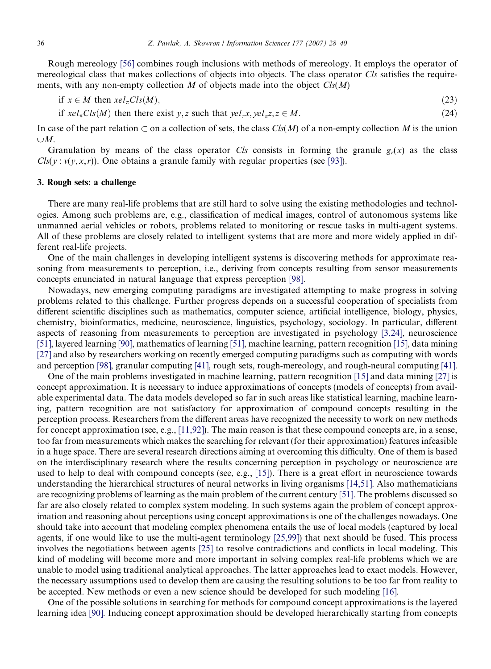<span id="page-8-0"></span>36 Z. Pawlak, A. Skowron / Information Sciences 177 (2007) 28–40

Rough mereology [\[56\]](#page-11-0) combines rough inclusions with methods of mereology. It employs the operator of mereological class that makes collections of objects into objects. The class operator Cls satisfies the requirements, with any non-empty collection M of objects made into the object  $\text{Cls}(M)$ 

$$
\text{if } x \in M \text{ then } xel_{\pi}Cls(M),\tag{23}
$$

if  $x e I_{\pi} C l s(M)$  then there exist y, z such that  $y e I_{\pi} x, y e I_{\pi} z, z \in M$ . (24)

In case of the part relation  $\subset$  on a collection of sets, the class Cls(M) of a non-empty collection M is the union  $\cup M$ .

Granulation by means of the class operator Cls consists in forming the granule  $g_r(x)$  as the class  $Cls(y: v(y, x, r))$ . One obtains a granule family with regular properties (see [\[93\]](#page-12-0)).

# 3. Rough sets: a challenge

There are many real-life problems that are still hard to solve using the existing methodologies and technologies. Among such problems are, e.g., classification of medical images, control of autonomous systems like unmanned aerial vehicles or robots, problems related to monitoring or rescue tasks in multi-agent systems. All of these problems are closely related to intelligent systems that are more and more widely applied in different real-life projects.

One of the main challenges in developing intelligent systems is discovering methods for approximate reasoning from measurements to perception, i.e., deriving from concepts resulting from sensor measurements concepts enunciated in natural language that express perception [\[98\]](#page-12-0).

Nowadays, new emerging computing paradigms are investigated attempting to make progress in solving problems related to this challenge. Further progress depends on a successful cooperation of specialists from different scientific disciplines such as mathematics, computer science, artificial intelligence, biology, physics, chemistry, bioinformatics, medicine, neuroscience, linguistics, psychology, sociology. In particular, different aspects of reasoning from measurements to perception are investigated in psychology [\[3,24\]](#page-10-0), neuroscience [\[51\],](#page-11-0) layered learning [\[90\],](#page-12-0) mathematics of learning [\[51\],](#page-11-0) machine learning, pattern recognition [\[15\],](#page-10-0) data mining [\[27\]](#page-10-0) and also by researchers working on recently emerged computing paradigms such as computing with words and perception [\[98\],](#page-12-0) granular computing [\[41\]](#page-11-0), rough sets, rough-mereology, and rough-neural computing [\[41\].](#page-11-0)

One of the main problems investigated in machine learning, pattern recognition [\[15\]](#page-10-0) and data mining [\[27\]](#page-10-0) is concept approximation. It is necessary to induce approximations of concepts (models of concepts) from available experimental data. The data models developed so far in such areas like statistical learning, machine learning, pattern recognition are not satisfactory for approximation of compound concepts resulting in the perception process. Researchers from the different areas have recognized the necessity to work on new methods for concept approximation (see, e.g., [\[11,92\]\)](#page-10-0). The main reason is that these compound concepts are, in a sense, too far from measurements which makes the searching for relevant (for their approximation) features infeasible in a huge space. There are several research directions aiming at overcoming this difficulty. One of them is based on the interdisciplinary research where the results concerning perception in psychology or neuroscience are used to help to deal with compound concepts (see, e.g., [\[15\]\)](#page-10-0). There is a great effort in neuroscience towards understanding the hierarchical structures of neural networks in living organisms [\[14,51\]](#page-10-0). Also mathematicians are recognizing problems of learning as the main problem of the current century [\[51\].](#page-11-0) The problems discussed so far are also closely related to complex system modeling. In such systems again the problem of concept approximation and reasoning about perceptions using concept approximations is one of the challenges nowadays. One should take into account that modeling complex phenomena entails the use of local models (captured by local agents, if one would like to use the multi-agent terminology [\[25,99\]\)](#page-10-0) that next should be fused. This process involves the negotiations between agents [\[25\]](#page-10-0) to resolve contradictions and conflicts in local modeling. This kind of modeling will become more and more important in solving complex real-life problems which we are unable to model using traditional analytical approaches. The latter approaches lead to exact models. However, the necessary assumptions used to develop them are causing the resulting solutions to be too far from reality to be accepted. New methods or even a new science should be developed for such modeling [\[16\].](#page-10-0)

One of the possible solutions in searching for methods for compound concept approximations is the layered learning idea [\[90\]](#page-12-0). Inducing concept approximation should be developed hierarchically starting from concepts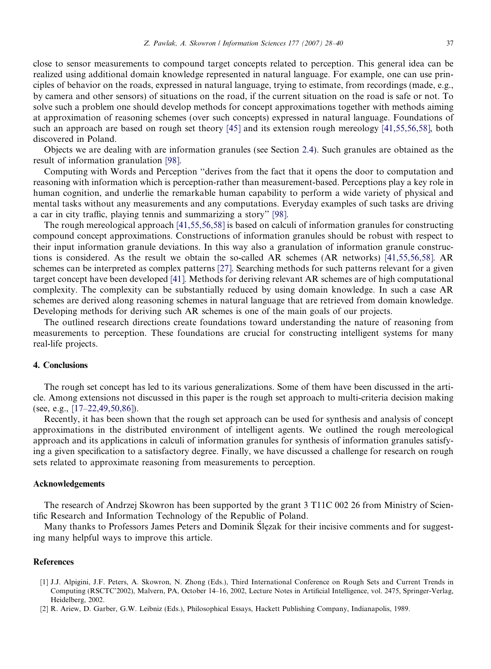<span id="page-9-0"></span>close to sensor measurements to compound target concepts related to perception. This general idea can be realized using additional domain knowledge represented in natural language. For example, one can use principles of behavior on the roads, expressed in natural language, trying to estimate, from recordings (made, e.g., by camera and other sensors) of situations on the road, if the current situation on the road is safe or not. To solve such a problem one should develop methods for concept approximations together with methods aiming at approximation of reasoning schemes (over such concepts) expressed in natural language. Foundations of such an approach are based on rough set theory [\[45\]](#page-11-0) and its extension rough mereology [\[41,55,56,58\]](#page-11-0), both discovered in Poland.

Objects we are dealing with are information granules (see Section [2.4\)](#page-5-0). Such granules are obtained as the result of information granulation [\[98\].](#page-12-0)

Computing with Words and Perception ''derives from the fact that it opens the door to computation and reasoning with information which is perception-rather than measurement-based. Perceptions play a key role in human cognition, and underlie the remarkable human capability to perform a wide variety of physical and mental tasks without any measurements and any computations. Everyday examples of such tasks are driving a car in city traffic, playing tennis and summarizing a story'' [\[98\].](#page-12-0)

The rough mereological approach [\[41,55,56,58\]](#page-11-0) is based on calculi of information granules for constructing compound concept approximations. Constructions of information granules should be robust with respect to their input information granule deviations. In this way also a granulation of information granule constructions is considered. As the result we obtain the so-called AR schemes (AR networks) [\[41,55,56,58\]](#page-11-0). AR schemes can be interpreted as complex patterns [\[27\].](#page-10-0) Searching methods for such patterns relevant for a given target concept have been developed [\[41\]](#page-11-0). Methods for deriving relevant AR schemes are of high computational complexity. The complexity can be substantially reduced by using domain knowledge. In such a case AR schemes are derived along reasoning schemes in natural language that are retrieved from domain knowledge. Developing methods for deriving such AR schemes is one of the main goals of our projects.

The outlined research directions create foundations toward understanding the nature of reasoning from measurements to perception. These foundations are crucial for constructing intelligent systems for many real-life projects.

# 4. Conclusions

The rough set concept has led to its various generalizations. Some of them have been discussed in the article. Among extensions not discussed in this paper is the rough set approach to multi-criteria decision making (see, e.g., [\[17–22,49,50,86\]\)](#page-10-0).

Recently, it has been shown that the rough set approach can be used for synthesis and analysis of concept approximations in the distributed environment of intelligent agents. We outlined the rough mereological approach and its applications in calculi of information granules for synthesis of information granules satisfying a given specification to a satisfactory degree. Finally, we have discussed a challenge for research on rough sets related to approximate reasoning from measurements to perception.

### Acknowledgements

The research of Andrzej Skowron has been supported by the grant 3 T11C 002 26 from Ministry of Scientific Research and Information Technology of the Republic of Poland.

Many thanks to Professors James Peters and Dominik Ślęzak for their incisive comments and for suggesting many helpful ways to improve this article.

#### **References**

- [1] J.J. Alpigini, J.F. Peters, A. Skowron, N. Zhong (Eds.), Third International Conference on Rough Sets and Current Trends in Computing (RSCTC'2002), Malvern, PA, October 14–16, 2002, Lecture Notes in Artificial Intelligence, vol. 2475, Springer-Verlag, Heidelberg, 2002.
- [2] R. Ariew, D. Garber, G.W. Leibniz (Eds.), Philosophical Essays, Hackett Publishing Company, Indianapolis, 1989.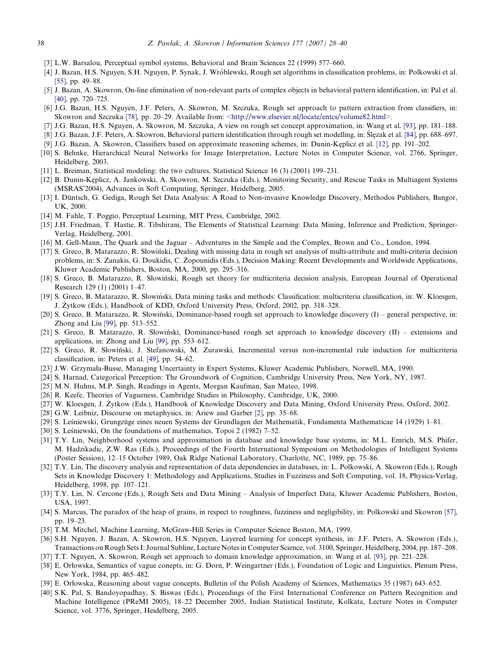- <span id="page-10-0"></span>[3] L.W. Barsalou, Perceptual symbol systems, Behavioral and Brain Sciences 22 (1999) 577–660.
- [4] J. Bazan, H.S. Nguyen, S.H. Nguyen, P. Synak, J. Wro´blewski, Rough set algorithms in classification problems, in: Polkowski et al. [\[55\],](#page-11-0) pp. 49–88.
- [5] J. Bazan, A. Skowron, On-line elimination of non-relevant parts of complex objects in behavioral pattern identification, in: Pal et al. [40], pp. 720-725.
- [6] J.G. Bazan, H.S. Nguyen, J.F. Peters, A. Skowron, M. Szczuka, Rough set approach to pattern extraction from classifiers, in: Skowron and Szczuka [\[78\],](#page-12-0) pp. 20–29. Available from: [<http://www.elsevier.nl/locate/entcs/volume82.html>](http://www.elsevier.nl/locate/entcs/volume82.html).
- [7] J.G. Bazan, H.S. Nguyen, A. Skowron, M. Szczuka, A view on rough set concept approximation, in: Wang et al. [\[93\],](#page-12-0) pp. 181–188.
- [8] J.G. Bazan, J.F. Peters, A. Skowron, Behavioral pattern identification through rough set modelling, in: Ślęzak et al. [\[84\],](#page-12-0) pp. 688–697.
- [9] J.G. Bazan, A. Skowron, Classifiers based on approximate reasoning schemes, in: Dunin-Keplicz et al. [12], pp. 191–202.
- [10] S. Behnke, Hierarchical Neural Networks for Image Interpretation, Lecture Notes in Computer Science, vol. 2766, Springer, Heidelberg, 2003.
- [11] L. Breiman, Statistical modeling: the two cultures, Statistical Science 16 (3) (2001) 199–231.
- [12] B. Dunin-Keplicz, A. Jankowski, A. Skowron, M. Szczuka (Eds.), Monitoring Security, and Rescue Tasks in Multiagent Systems (MSRAS'2004), Advances in Soft Computing, Springer, Heidelberg, 2005.
- [13] I. Düntsch, G. Gediga, Rough Set Data Analysis: A Road to Non-invasive Knowledge Discovery, Methodos Publishers, Bangor, UK, 2000.
- [14] M. Fahle, T. Poggio, Perceptual Learning, MIT Press, Cambridge, 2002.
- [15] J.H. Friedman, T. Hastie, R. Tibshirani, The Elements of Statistical Learning: Data Mining, Inference and Prediction, Springer-Verlag, Heidelberg, 2001.
- [16] M. Gell-Mann, The Quark and the Jaguar Adventures in the Simple and the Complex, Brown and Co., London, 1994.
- [17] S. Greco, B. Matarazzo, R. Słowiński, Dealing with missing data in rough set analysis of multi-attribute and multi-criteria decision problems, in: S. Zanakis, G. Doukidis, C. Zopounidis (Eds.), Decision Making: Recent Developments and Worldwide Applications, Kluwer Academic Publishers, Boston, MA, 2000, pp. 295–316.
- [18] S. Greco, B. Matarazzo, R. Słowiński, Rough set theory for multicriteria decision analysis, European Journal of Operational Research 129 (1) (2001) 1–47.
- [19] S. Greco, B. Matarazzo, R. Słowiński, Data mining tasks and methods: Classification: multicriteria classification, in: W. Kloesgen, J. Zytkow (Eds.), Handbook of KDD, Oxford University Press, Oxford, 2002, pp. 318–328. \_
- [20] S. Greco, B. Matarazzo, R. Słowiński, Dominance-based rough set approach to knowledge discovery  $(I)$  general perspective, in: Zhong and Liu [\[99\],](#page-12-0) pp. 513–552.
- [21] S. Greco, B. Matarazzo, R. Słowin´ski, Dominance-based rough set approach to knowledge discovery (II) extensions and applications, in: Zhong and Liu [\[99\]](#page-12-0), pp. 553–612.
- [22] S. Greco, R. Słowin´ski, J. Stefanowski, M. Zurawski, Incremental versus non-incremental rule induction for multicriteria classification, in: Peters et al. [\[49\]](#page-11-0), pp. 54–62.
- [23] J.W. Grzymała-Busse, Managing Uncertainty in Expert Systems, Kluwer Academic Publishers, Norwell, MA, 1990.
- [24] S. Harnad, Categorical Perception: The Groundwork of Cognition, Cambridge University Press, New York, NY, 1987.
- [25] M.N. Huhns, M.P. Singh, Readings in Agents, Morgan Kaufman, San Mateo, 1998.
- [26] R. Keefe, Theories of Vagueness, Cambridge Studies in Philosophy, Cambridge, UK, 2000.
- [27] W. Kloesgen, J. Żytkow (Eds.), Handbook of Knowledge Discovery and Data Mining, Oxford University Press, Oxford, 2002.
- [28] G.W. Leibniz, Discourse on metaphysics, in: Ariew and Garber [\[2\]](#page-9-0), pp. 35–68.
- [29] S. Lesniewski, Grungzüge eines neuen Systems der Grundlagen der Mathematik, Fundamenta Mathematicae 14 (1929) 1–81.
- [30] S. Leśniewski, On the foundations of mathematics, Topoi 2 (1982) 7–52.
- [31] T.Y. Lin, Neighborhood systems and approximation in database and knowledge base systems, in: M.L. Emrich, M.S. Phifer, M. Hadzikadic, Z.W. Ras (Eds.), Proceedings of the Fourth International Symposium on Methodologies of Intelligent Systems (Poster Session), 12–15 October 1989, Oak Ridge National Laboratory, Charlotte, NC, 1989, pp. 75–86.
- [32] T.Y. Lin, The discovery analysis and representation of data dependencies in databases, in: L. Polkowski, A. Skowron (Eds.), Rough Sets in Knowledge Discovery 1: Methodology and Applications, Studies in Fuzziness and Soft Computing, vol. 18, Physica-Verlag, Heidelberg, 1998, pp. 107–121.
- [33] T.Y. Lin, N. Cercone (Eds.), Rough Sets and Data Mining Analysis of Imperfect Data, Kluwer Academic Publishers, Boston, USA, 1997.
- [34] S. Marcus, The paradox of the heap of grains, in respect to roughness, fuzziness and negligibility, in: Polkowski and Skowron [\[57\]](#page-11-0), pp. 19–23.
- [35] T.M. Mitchel, Machine Learning, McGraw-Hill Series in Computer Science Boston, MA, 1999.
- [36] S.H. Nguyen, J. Bazan, A. Skowron, H.S. Nguyen, Layered learning for concept synthesis, in: J.F. Peters, A. Skowron (Eds.), Transactions on Rough Sets I: Journal Subline, Lecture Notes in Computer Science, vol. 3100, Springer, Heidelberg, 2004, pp. 187–208.
- [37] T.T. Nguyen, A. Skowron, Rough set approach to domain knowledge approximation, in: Wang et al. [\[93\]](#page-12-0), pp. 221–228.
- [38] E. Orłowska, Semantics of vague conepts, in: G. Dorn, P. Weingartner (Eds.), Foundation of Logic and Linguistics, Plenum Press, New York, 1984, pp. 465–482.
- [39] E. Orłowska, Reasoning about vague concepts, Bulletin of the Polish Academy of Sciences, Mathematics 35 (1987) 643–652.
- [40] S.K. Pal, S. Bandoyopadhay, S. Biswas (Eds.), Proceedings of the First International Conference on Pattern Recognition and Machine Intelligence (PReMI 2005), 18–22 December 2005, Indian Statistical Institute, Kolkata, Lecture Notes in Computer Science, vol. 3776, Springer, Heidelberg, 2005.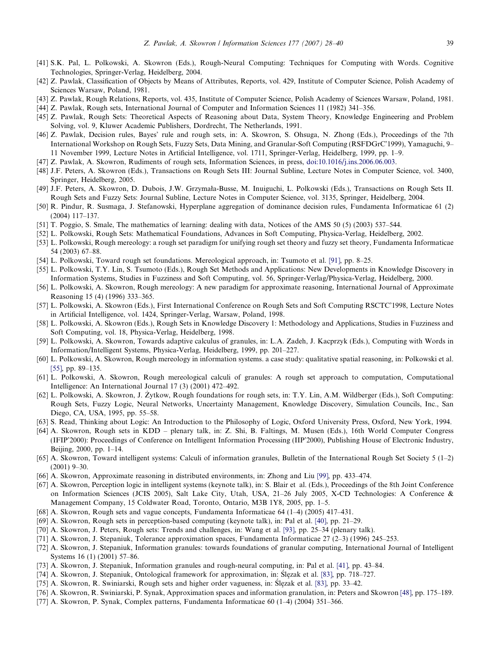- <span id="page-11-0"></span>[41] S.K. Pal, L. Polkowski, A. Skowron (Eds.), Rough-Neural Computing: Techniques for Computing with Words. Cognitive Technologies, Springer-Verlag, Heidelberg, 2004.
- [42] Z. Pawlak, Classification of Objects by Means of Attributes, Reports, vol. 429, Institute of Computer Science, Polish Academy of Sciences Warsaw, Poland, 1981.
- [43] Z. Pawlak, Rough Relations, Reports, vol. 435, Institute of Computer Science, Polish Academy of Sciences Warsaw, Poland, 1981.
- [44] Z. Pawlak, Rough sets, International Journal of Computer and Information Sciences 11 (1982) 341–356.
- [45] Z. Pawlak, Rough Sets: Theoretical Aspects of Reasoning about Data, System Theory, Knowledge Engineering and Problem Solving, vol. 9, Kluwer Academic Publishers, Dordrecht, The Netherlands, 1991.
- [46] Z. Pawlak, Decision rules, Bayes' rule and rough sets, in: A. Skowron, S. Ohsuga, N. Zhong (Eds.), Proceedings of the 7th International Workshop on Rough Sets, Fuzzy Sets, Data Mining, and Granular-Soft Computing (RSFDGrC'1999), Yamaguchi, 9– 11 November 1999, Lecture Notes in Artificial Intelligence, vol. 1711, Springer-Verlag, Heidelberg, 1999, pp. 1–9.
- [47] Z. Pawlak, A. Skowron, Rudiments of rough sets, Information Sciences, in press, [doi:10.1016/j.ins.2006.06.003](http://dx.doi.org/10.1016/j.ins.2006.06.003).
- [48] J.F. Peters, A. Skowron (Eds.), Transactions on Rough Sets III: Journal Subline, Lecture Notes in Computer Science, vol. 3400, Springer, Heidelberg, 2005.
- [49] J.F. Peters, A. Skowron, D. Dubois, J.W. Grzymała-Busse, M. Inuiguchi, L. Polkowski (Eds.), Transactions on Rough Sets II. Rough Sets and Fuzzy Sets: Journal Subline, Lecture Notes in Computer Science, vol. 3135, Springer, Heidelberg, 2004.
- [50] R. Pindur, R. Susmaga, J. Stefanowski, Hyperplane aggregation of dominance decision rules, Fundamenta Informaticae 61 (2) (2004) 117–137.
- [51] T. Poggio, S. Smale, The mathematics of learning: dealing with data, Notices of the AMS 50 (5) (2003) 537–544.
- [52] L. Polkowski, Rough Sets: Mathematical Foundations, Advances in Soft Computing, Physica-Verlag, Heidelberg, 2002.
- [53] L. Polkowski, Rough mereology: a rough set paradigm for unifying rough set theory and fuzzy set theory, Fundamenta Informaticae 54 (2003) 67–88.
- [54] L. Polkowski, Toward rough set foundations. Mereological approach, in: Tsumoto et al. [\[91\]](#page-12-0), pp. 8–25.
- [55] L. Polkowski, T.Y. Lin, S. Tsumoto (Eds.), Rough Set Methods and Applications: New Developments in Knowledge Discovery in Information Systems, Studies in Fuzziness and Soft Computing, vol. 56, Springer-Verlag/Physica-Verlag, Heidelberg, 2000.
- [56] L. Polkowski, A. Skowron, Rough mereology: A new paradigm for approximate reasoning, International Journal of Approximate Reasoning 15 (4) (1996) 333–365.
- [57] L. Polkowski, A. Skowron (Eds.), First International Conference on Rough Sets and Soft Computing RSCTC'1998, Lecture Notes in Artificial Intelligence, vol. 1424, Springer-Verlag, Warsaw, Poland, 1998.
- [58] L. Polkowski, A. Skowron (Eds.), Rough Sets in Knowledge Discovery 1: Methodology and Applications, Studies in Fuzziness and Soft Computing, vol. 18, Physica-Verlag, Heidelberg, 1998.
- [59] L. Polkowski, A. Skowron, Towards adaptive calculus of granules, in: L.A. Zadeh, J. Kacprzyk (Eds.), Computing with Words in Information/Intelligent Systems, Physica-Verlag, Heidelberg, 1999, pp. 201–227.
- [60] L. Polkowski, A. Skowron, Rough mereology in information systems. a case study: qualitative spatial reasoning, in: Polkowski et al. [55], pp. 89-135.
- [61] L. Polkowski, A. Skowron, Rough mereological calculi of granules: A rough set approach to computation, Computational Intelligence: An International Journal 17 (3) (2001) 472–492.
- [62] L. Polkowski, A. Skowron, J. Żytkow, Rough foundations for rough sets, in: T.Y. Lin, A.M. Wildberger (Eds.), Soft Computing: Rough Sets, Fuzzy Logic, Neural Networks, Uncertainty Management, Knowledge Discovery, Simulation Councils, Inc., San Diego, CA, USA, 1995, pp. 55–58.
- [63] S. Read, Thinking about Logic: An Introduction to the Philosophy of Logic, Oxford University Press, Oxford, New York, 1994.
- [64] A. Skowron, Rough sets in KDD plenary talk, in: Z. Shi, B. Faltings, M. Musen (Eds.), 16th World Computer Congress (IFIP'2000): Proceedings of Conference on Intelligent Information Processing (IIP'2000), Publishing House of Electronic Industry, Beijing, 2000, pp. 1–14.
- [65] A. Skowron, Toward intelligent systems: Calculi of information granules, Bulletin of the International Rough Set Society 5 (1–2) (2001) 9–30.
- [66] A. Skowron, Approximate reasoning in distributed environments, in: Zhong and Liu [\[99\],](#page-12-0) pp. 433–474.
- [67] A. Skowron, Perception logic in intelligent systems (keynote talk), in: S. Blair et al. (Eds.), Proceedings of the 8th Joint Conference on Information Sciences (JCIS 2005), Salt Lake City, Utah, USA, 21–26 July 2005, X-CD Technologies: A Conference & Management Company, 15 Coldwater Road, Toronto, Ontario, M3B 1Y8, 2005, pp. 1–5.
- [68] A. Skowron, Rough sets and vague concepts, Fundamenta Informaticae 64 (1–4) (2005) 417–431.
- [69] A. Skowron, Rough sets in perception-based computing (keynote talk), in: Pal et al. [\[40\],](#page-10-0) pp. 21–29.
- [70] A. Skowron, J. Peters, Rough sets: Trends and challenges, in: Wang et al. [\[93\]](#page-12-0), pp. 25–34 (plenary talk).
- [71] A. Skowron, J. Stepaniuk, Tolerance approximation spaces, Fundamenta Informaticae 27 (2–3) (1996) 245–253.
- [72] A. Skowron, J. Stepaniuk, Information granules: towards foundations of granular computing, International Journal of Intelligent Systems 16 (1) (2001) 57–86.
- [73] A. Skowron, J. Stepaniuk, Information granules and rough-neural computing, in: Pal et al. [41], pp. 43–84.
- [74] A. Skowron, J. Stepaniuk, Ontological framework for approximation, in: Ślęzak et al. [\[83\]](#page-12-0), pp. 718–727.
- [75] A. Skowron, R. Swiniarski, Rough sets and higher order vagueness, in: Ślęzak et al. [\[83\],](#page-12-0) pp. 33-42.
- [76] A. Skowron, R. Swiniarski, P. Synak, Approximation spaces and information granulation, in: Peters and Skowron [48], pp. 175–189.
- [77] A. Skowron, P. Synak, Complex patterns, Fundamenta Informaticae 60 (1–4) (2004) 351–366.